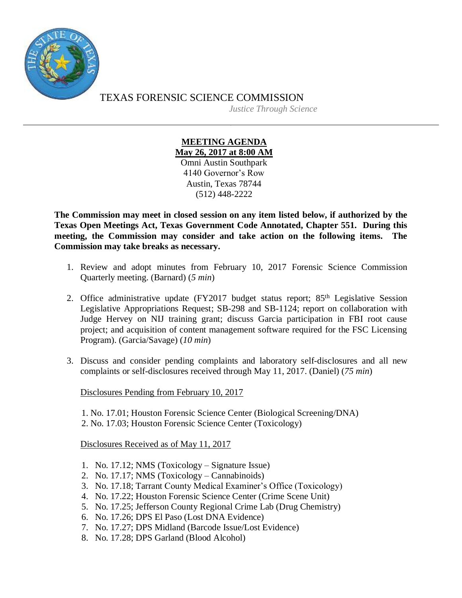

## TEXAS FORENSIC SCIENCE COMMISSION *Justice Through Science*

## **MEETING AGENDA May 26, 2017 at 8:00 AM** Omni Austin Southpark

4140 Governor's Row Austin, Texas 78744 (512) 448-2222

**The Commission may meet in closed session on any item listed below, if authorized by the Texas Open Meetings Act, Texas Government Code Annotated, Chapter 551. During this meeting, the Commission may consider and take action on the following items. The Commission may take breaks as necessary.**

- 1. Review and adopt minutes from February 10, 2017 Forensic Science Commission Quarterly meeting. (Barnard) (*5 min*)
- 2. Office administrative update (FY2017 budget status report; 85<sup>th</sup> Legislative Session Legislative Appropriations Request; SB-298 and SB-1124; report on collaboration with Judge Hervey on NIJ training grant; discuss Garcia participation in FBI root cause project; and acquisition of content management software required for the FSC Licensing Program). (Garcia/Savage) (*10 min*)
- 3. Discuss and consider pending complaints and laboratory self-disclosures and all new complaints or self-disclosures received through May 11, 2017. (Daniel) (*75 min*)

Disclosures Pending from February 10, 2017

1. No. 17.01; Houston Forensic Science Center (Biological Screening/DNA) 2. No. 17.03; Houston Forensic Science Center (Toxicology)

Disclosures Received as of May 11, 2017

- 1. No. 17.12; NMS (Toxicology Signature Issue)
- 2. No. 17.17; NMS (Toxicology Cannabinoids)
- 3. No. 17.18; Tarrant County Medical Examiner's Office (Toxicology)
- 4. No. 17.22; Houston Forensic Science Center (Crime Scene Unit)
- 5. No. 17.25; Jefferson County Regional Crime Lab (Drug Chemistry)
- 6. No. 17.26; DPS El Paso (Lost DNA Evidence)
- 7. No. 17.27; DPS Midland (Barcode Issue/Lost Evidence)
- 8. No. 17.28; DPS Garland (Blood Alcohol)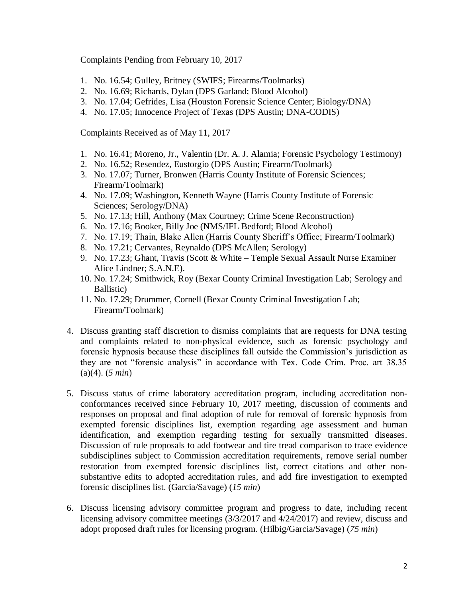## Complaints Pending from February 10, 2017

- 1. No. 16.54; Gulley, Britney (SWIFS; Firearms/Toolmarks)
- 2. No. 16.69; Richards, Dylan (DPS Garland; Blood Alcohol)
- 3. No. 17.04; Gefrides, Lisa (Houston Forensic Science Center; Biology/DNA)
- 4. No. 17.05; Innocence Project of Texas (DPS Austin; DNA-CODIS)

## Complaints Received as of May 11, 2017

- 1. No. 16.41; Moreno, Jr., Valentin (Dr. A. J. Alamia; Forensic Psychology Testimony)
- 2. No. 16.52; Resendez, Eustorgio (DPS Austin; Firearm/Toolmark)
- 3. No. 17.07; Turner, Bronwen (Harris County Institute of Forensic Sciences; Firearm/Toolmark)
- 4. No. 17.09; Washington, Kenneth Wayne (Harris County Institute of Forensic Sciences; Serology/DNA)
- 5. No. 17.13; Hill, Anthony (Max Courtney; Crime Scene Reconstruction)
- 6. No. 17.16; Booker, Billy Joe (NMS/IFL Bedford; Blood Alcohol)
- 7. No. 17.19; Thain, Blake Allen (Harris County Sheriff's Office; Firearm/Toolmark)
- 8. No. 17.21; Cervantes, Reynaldo (DPS McAllen; Serology)
- 9. No. 17.23; Ghant, Travis (Scott & White Temple Sexual Assault Nurse Examiner Alice Lindner; S.A.N.E).
- 10. No. 17.24; Smithwick, Roy (Bexar County Criminal Investigation Lab; Serology and Ballistic)
- 11. No. 17.29; Drummer, Cornell (Bexar County Criminal Investigation Lab; Firearm/Toolmark)
- 4. Discuss granting staff discretion to dismiss complaints that are requests for DNA testing and complaints related to non-physical evidence, such as forensic psychology and forensic hypnosis because these disciplines fall outside the Commission's jurisdiction as they are not "forensic analysis" in accordance with Tex. Code Crim. Proc. art 38.35 (a)(4). (*5 min*)
- 5. Discuss status of crime laboratory accreditation program, including accreditation nonconformances received since February 10, 2017 meeting, discussion of comments and responses on proposal and final adoption of rule for removal of forensic hypnosis from exempted forensic disciplines list, exemption regarding age assessment and human identification, and exemption regarding testing for sexually transmitted diseases. Discussion of rule proposals to add footwear and tire tread comparison to trace evidence subdisciplines subject to Commission accreditation requirements, remove serial number restoration from exempted forensic disciplines list, correct citations and other nonsubstantive edits to adopted accreditation rules, and add fire investigation to exempted forensic disciplines list. (Garcia/Savage) (*15 min*)
- 6. Discuss licensing advisory committee program and progress to date, including recent licensing advisory committee meetings (3/3/2017 and 4/24/2017) and review, discuss and adopt proposed draft rules for licensing program. (Hilbig/Garcia/Savage) (*75 min*)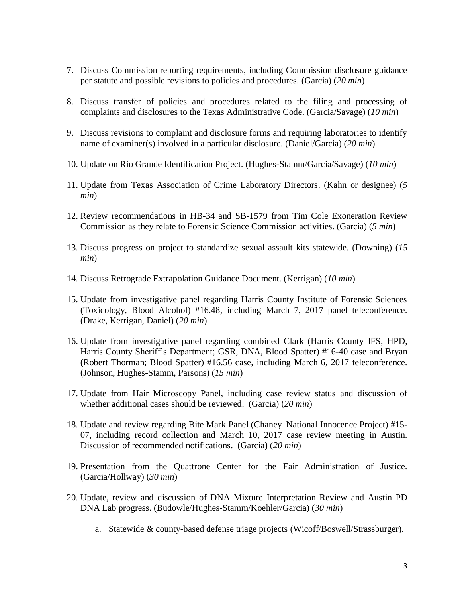- 7. Discuss Commission reporting requirements, including Commission disclosure guidance per statute and possible revisions to policies and procedures. (Garcia) (*20 min*)
- 8. Discuss transfer of policies and procedures related to the filing and processing of complaints and disclosures to the Texas Administrative Code. (Garcia/Savage) (*10 min*)
- 9. Discuss revisions to complaint and disclosure forms and requiring laboratories to identify name of examiner(s) involved in a particular disclosure. (Daniel/Garcia) (*20 min*)
- 10. Update on Rio Grande Identification Project. (Hughes-Stamm/Garcia/Savage) (*10 min*)
- 11. Update from Texas Association of Crime Laboratory Directors. (Kahn or designee) (*5 min*)
- 12. Review recommendations in HB-34 and SB-1579 from Tim Cole Exoneration Review Commission as they relate to Forensic Science Commission activities. (Garcia) (*5 min*)
- 13. Discuss progress on project to standardize sexual assault kits statewide. (Downing) (*15 min*)
- 14. Discuss Retrograde Extrapolation Guidance Document. (Kerrigan) (*10 min*)
- 15. Update from investigative panel regarding Harris County Institute of Forensic Sciences (Toxicology, Blood Alcohol) #16.48, including March 7, 2017 panel teleconference. (Drake, Kerrigan, Daniel) (*20 min*)
- 16. Update from investigative panel regarding combined Clark (Harris County IFS, HPD, Harris County Sheriff's Department; GSR, DNA, Blood Spatter) #16-40 case and Bryan (Robert Thorman; Blood Spatter) #16.56 case, including March 6, 2017 teleconference. (Johnson, Hughes-Stamm, Parsons) (*15 min*)
- 17. Update from Hair Microscopy Panel, including case review status and discussion of whether additional cases should be reviewed. (Garcia) (*20 min*)
- 18. Update and review regarding Bite Mark Panel (Chaney–National Innocence Project) #15- 07, including record collection and March 10, 2017 case review meeting in Austin. Discussion of recommended notifications. (Garcia) (*20 min*)
- 19. Presentation from the Quattrone Center for the Fair Administration of Justice. (Garcia/Hollway) (*30 min*)
- 20. Update, review and discussion of DNA Mixture Interpretation Review and Austin PD DNA Lab progress. (Budowle/Hughes-Stamm/Koehler/Garcia) (*30 min*)
	- a. Statewide & county-based defense triage projects (Wicoff/Boswell/Strassburger).